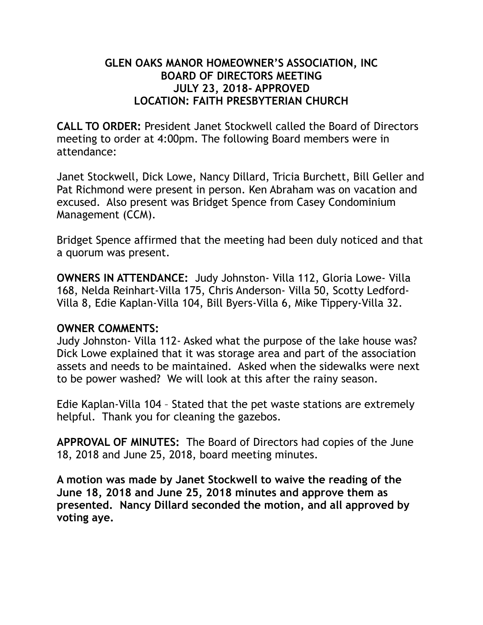### **GLEN OAKS MANOR HOMEOWNER'S ASSOCIATION, INC BOARD OF DIRECTORS MEETING JULY 23, 2018- APPROVED LOCATION: FAITH PRESBYTERIAN CHURCH**

**CALL TO ORDER:** President Janet Stockwell called the Board of Directors meeting to order at 4:00pm. The following Board members were in attendance:

Janet Stockwell, Dick Lowe, Nancy Dillard, Tricia Burchett, Bill Geller and Pat Richmond were present in person. Ken Abraham was on vacation and excused. Also present was Bridget Spence from Casey Condominium Management (CCM).

Bridget Spence affirmed that the meeting had been duly noticed and that a quorum was present.

**OWNERS IN ATTENDANCE:** Judy Johnston- Villa 112, Gloria Lowe- Villa 168, Nelda Reinhart-Villa 175, Chris Anderson- Villa 50, Scotty Ledford-Villa 8, Edie Kaplan-Villa 104, Bill Byers-Villa 6, Mike Tippery-Villa 32.

### **OWNER COMMENTS:**

Judy Johnston- Villa 112- Asked what the purpose of the lake house was? Dick Lowe explained that it was storage area and part of the association assets and needs to be maintained. Asked when the sidewalks were next to be power washed? We will look at this after the rainy season.

Edie Kaplan-Villa 104 – Stated that the pet waste stations are extremely helpful. Thank you for cleaning the gazebos.

**APPROVAL OF MINUTES:** The Board of Directors had copies of the June 18, 2018 and June 25, 2018, board meeting minutes.

**A motion was made by Janet Stockwell to waive the reading of the June 18, 2018 and June 25, 2018 minutes and approve them as presented. Nancy Dillard seconded the motion, and all approved by voting aye.**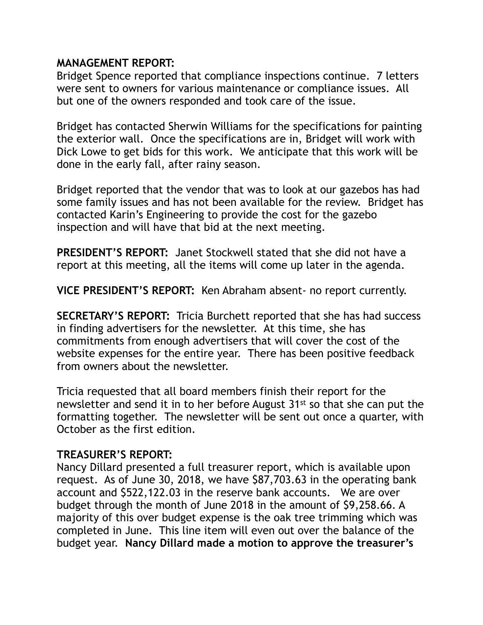#### **MANAGEMENT REPORT:**

Bridget Spence reported that compliance inspections continue. 7 letters were sent to owners for various maintenance or compliance issues. All but one of the owners responded and took care of the issue.

Bridget has contacted Sherwin Williams for the specifications for painting the exterior wall. Once the specifications are in, Bridget will work with Dick Lowe to get bids for this work. We anticipate that this work will be done in the early fall, after rainy season.

Bridget reported that the vendor that was to look at our gazebos has had some family issues and has not been available for the review. Bridget has contacted Karin's Engineering to provide the cost for the gazebo inspection and will have that bid at the next meeting.

**PRESIDENT'S REPORT:** Janet Stockwell stated that she did not have a report at this meeting, all the items will come up later in the agenda.

**VICE PRESIDENT'S REPORT:** Ken Abraham absent- no report currently.

**SECRETARY'S REPORT:** Tricia Burchett reported that she has had success in finding advertisers for the newsletter. At this time, she has commitments from enough advertisers that will cover the cost of the website expenses for the entire year. There has been positive feedback from owners about the newsletter.

Tricia requested that all board members finish their report for the newsletter and send it in to her before August 31st so that she can put the formatting together. The newsletter will be sent out once a quarter, with October as the first edition.

#### **TREASURER'S REPORT:**

Nancy Dillard presented a full treasurer report, which is available upon request. As of June 30, 2018, we have \$87,703.63 in the operating bank account and \$522,122.03 in the reserve bank accounts. We are over budget through the month of June 2018 in the amount of \$9,258.66. A majority of this over budget expense is the oak tree trimming which was completed in June. This line item will even out over the balance of the budget year. **Nancy Dillard made a motion to approve the treasurer's**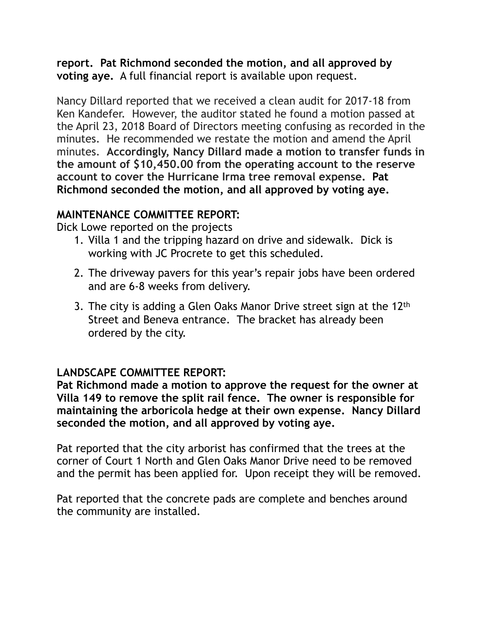**report. Pat Richmond seconded the motion, and all approved by voting aye.** A full financial report is available upon request.

Nancy Dillard reported that we received a clean audit for 2017-18 from Ken Kandefer. However, the auditor stated he found a motion passed at the April 23, 2018 Board of Directors meeting confusing as recorded in the minutes. He recommended we restate the motion and amend the April minutes. **Accordingly, Nancy Dillard made a motion to transfer funds in the amount of \$10,450.00 from the operating account to the reserve account to cover the Hurricane Irma tree removal expense. Pat Richmond seconded the motion, and all approved by voting aye.** 

### **MAINTENANCE COMMITTEE REPORT:**

Dick Lowe reported on the projects

- 1. Villa 1 and the tripping hazard on drive and sidewalk. Dick is working with JC Procrete to get this scheduled.
- 2. The driveway pavers for this year's repair jobs have been ordered and are 6-8 weeks from delivery.
- 3. The city is adding a Glen Oaks Manor Drive street sign at the 12th Street and Beneva entrance. The bracket has already been ordered by the city.

# **LANDSCAPE COMMITTEE REPORT:**

**Pat Richmond made a motion to approve the request for the owner at Villa 149 to remove the split rail fence. The owner is responsible for maintaining the arboricola hedge at their own expense. Nancy Dillard seconded the motion, and all approved by voting aye.** 

Pat reported that the city arborist has confirmed that the trees at the corner of Court 1 North and Glen Oaks Manor Drive need to be removed and the permit has been applied for. Upon receipt they will be removed.

Pat reported that the concrete pads are complete and benches around the community are installed.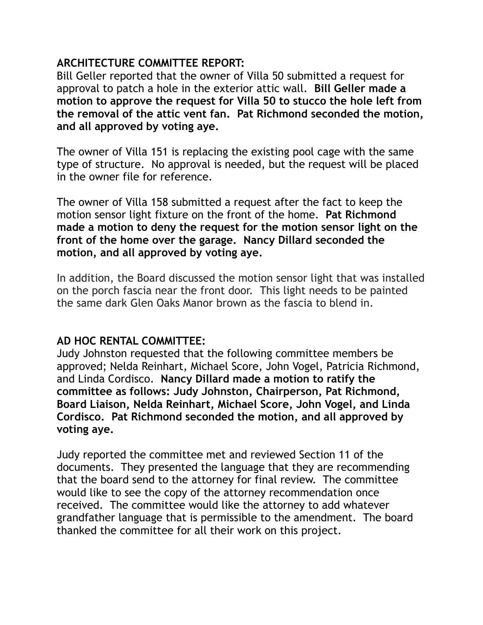### **ARCHITECTURE COMMITTEE REPORT:**

Bill Geller reported that the owner of Villa 50 submitted a request for approval to patch a hole in the exterior attic wall. **Bill Geller made a motion to approve the request for Villa 50 to stucco the hole left from the removal of the attic vent fan. Pat Richmond seconded the motion, and all approved by voting aye.** 

The owner of Villa 151 is replacing the existing pool cage with the same type of structure. No approval is needed, but the request will be placed in the owner file for reference.

The owner of Villa 158 submitted a request after the fact to keep the motion sensor light fixture on the front of the home. **Pat Richmond made a motion to deny the request for the motion sensor light on the front of the home over the garage. Nancy Dillard seconded the motion, and all approved by voting aye.** 

In addition, the Board discussed the motion sensor light that was installed on the porch fascia near the front door. This light needs to be painted the same dark Glen Oaks Manor brown as the fascia to blend in.

### **AD HOC RENTAL COMMITTEE:**

Judy Johnston requested that the following committee members be approved; Nelda Reinhart, Michael Score, John Vogel, Patricia Richmond, and Linda Cordisco. **Nancy Dillard made a motion to ratify the committee as follows: Judy Johnston, Chairperson, Pat Richmond, Board Liaison, Nelda Reinhart, Michael Score, John Vogel, and Linda Cordisco. Pat Richmond seconded the motion, and all approved by voting aye.** 

Judy reported the committee met and reviewed Section 11 of the documents. They presented the language that they are recommending that the board send to the attorney for final review. The committee would like to see the copy of the attorney recommendation once received. The committee would like the attorney to add whatever grandfather language that is permissible to the amendment. The board thanked the committee for all their work on this project.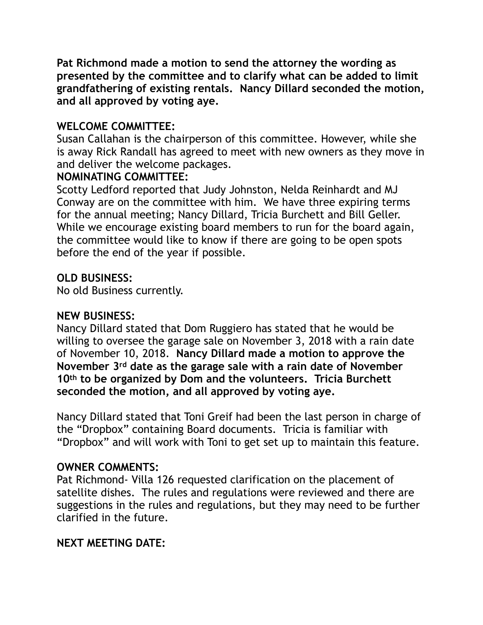**Pat Richmond made a motion to send the attorney the wording as presented by the committee and to clarify what can be added to limit grandfathering of existing rentals. Nancy Dillard seconded the motion, and all approved by voting aye.** 

# **WELCOME COMMITTEE:**

Susan Callahan is the chairperson of this committee. However, while she is away Rick Randall has agreed to meet with new owners as they move in and deliver the welcome packages.

### **NOMINATING COMMITTEE:**

Scotty Ledford reported that Judy Johnston, Nelda Reinhardt and MJ Conway are on the committee with him. We have three expiring terms for the annual meeting; Nancy Dillard, Tricia Burchett and Bill Geller. While we encourage existing board members to run for the board again, the committee would like to know if there are going to be open spots before the end of the year if possible.

# **OLD BUSINESS:**

No old Business currently.

# **NEW BUSINESS:**

Nancy Dillard stated that Dom Ruggiero has stated that he would be willing to oversee the garage sale on November 3, 2018 with a rain date of November 10, 2018. **Nancy Dillard made a motion to approve the November 3rd date as the garage sale with a rain date of November 10th to be organized by Dom and the volunteers. Tricia Burchett seconded the motion, and all approved by voting aye.** 

Nancy Dillard stated that Toni Greif had been the last person in charge of the "Dropbox" containing Board documents. Tricia is familiar with "Dropbox" and will work with Toni to get set up to maintain this feature.

### **OWNER COMMENTS:**

Pat Richmond- Villa 126 requested clarification on the placement of satellite dishes. The rules and regulations were reviewed and there are suggestions in the rules and regulations, but they may need to be further clarified in the future.

# **NEXT MEETING DATE:**